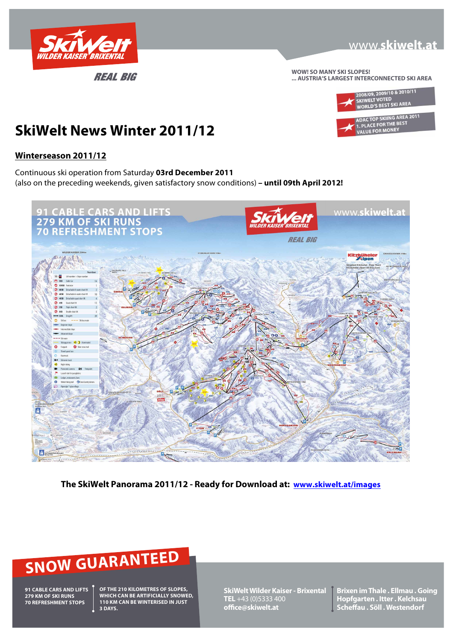

**WOW! SO MANY SKI SLOPES! ... AUSTRIA'S LARGEST INTERCONNECTED SKI AREA**



## **SkiWelt News Winter 2011/12**

## **Winterseason 2011/12**

Continuous ski operation from Saturday **03rd December 2011**  (also on the preceding weekends, given satisfactory snow conditions) **– until 09th April 2012!**



**The SkiWelt Panorama 2011/12 - Ready for Download at: www.skiwelt.at/images**

# **SNOW GUARANTEED**

**91 CABLE CARS AND LIFTS 279 KM OF SKI RUNS 70 REFRESHMENT STOPS**

**OF THE 210 KILOMETRES OF SLOPES, WHICH CAN BE ARTIFICIALLY SNOWED, 110 KM CAN BE WINTERISED IN JUST 3 DAYS.**

**SkiWelt Wilder Kaiser - Brixental TEL** +43 (0)5333 400 **office@skiwelt.at**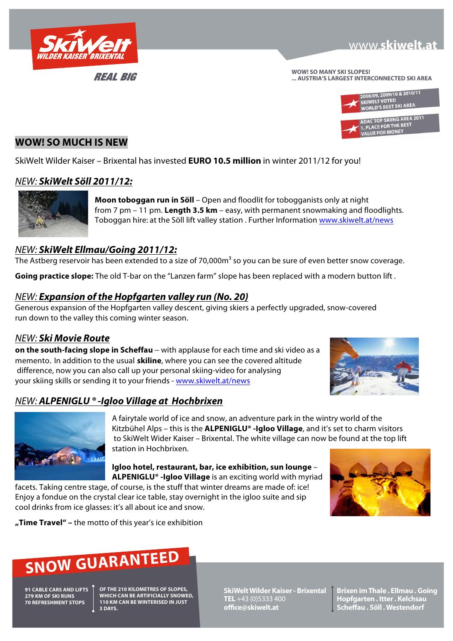

## **WWW.skiwelt.at**

**WOW! SO MANY SKI SLOPES! ... AUSTRIA'S LARGEST INTERCONNECTED SKI AREA**



## **WOW! SO MUCH IS NEW**

SkiWelt Wilder Kaiser – Brixental has invested **EURO 10.5 million** in winter 2011/12 for you!

## NEW: **SkiWelt Söll 2011/12:**



**Moon toboggan run in Söll** – Open and floodlit for tobogganists only at night from 7 pm – 11 pm. **Length 3.5 km** – easy, with permanent snowmaking and floodlights. Toboggan hire: at the Söll lift valley station . Further Information www.skiwelt.at/news

## NEW: **SkiWelt Ellmau/Going 2011/12:**

The Astberg reservoir has been extended to a size of 70,000m<sup>3</sup> so you can be sure of even better snow coverage.

**Going practice slope:** The old T-bar on the "Lanzen farm" slope has been replaced with a modern button lift .

## NEW: **Expansion of the Hopfgarten valley run (No. 20)**

Generous expansion of the Hopfgarten valley descent, giving skiers a perfectly upgraded, snow-covered run down to the valley this coming winter season.

## NEW: **Ski Movie Route**

**on the south-facing slope in Scheffau** – with applause for each time and ski video as a memento. In addition to the usual **skiline**, where you can see the covered altitude difference, now you can also call up your personal skiing-video for analysing your skiing skills or sending it to your friends - www.skiwelt.at/news



## NEW: **ALPENIGLU ® -Igloo Village at Hochbrixen**



A fairytale world of ice and snow, an adventure park in the wintry world of the Kitzbühel Alps – this is the **ALPENIGLU® -Igloo Village**, and it's set to charm visitors to SkiWelt Wider Kaiser – Brixental. The white village can now be found at the top lift station in Hochbrixen.

**Igloo hotel, restaurant, bar, ice exhibition, sun lounge** – **ALPENIGLU® -Igloo Village** is an exciting world with myriad

facets. Taking centre stage, of course, is the stuff that winter dreams are made of: ice! Enjoy a fondue on the crystal clear ice table, stay overnight in the igloo suite and sip cool drinks from ice glasses: it's all about ice and snow.



**"Time Travel" –** the motto of this year's ice exhibition

# **SNOW GUARANTEED**

**91 CABLE CARS AND LIFTS 279 KM OF SKI RUNS 70 REFRESHMENT STOPS**

**OF THE 210 KILOMETRES OF SLOPES, WHICH CAN BE ARTIFICIALLY SNOWED, 110 KM CAN BE WINTERISED IN JUST 3 DAYS.**

**SkiWelt Wilder Kaiser - Brixental TEL** +43 (0)5333 400 **office@skiwelt.at**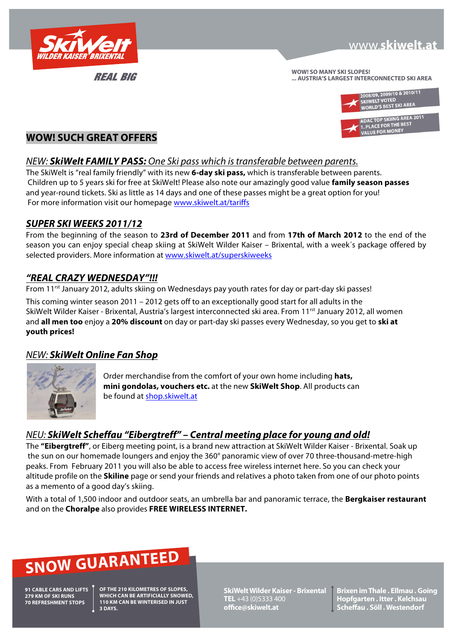

**WOW! SO MANY SKI SLOPES! ... AUSTRIA'S LARGEST INTERCONNECTED SKI AREA**



## **WOW! SUCH GREAT OFFERS**

## NEW: **SkiWelt FAMILY PASS:** One Ski pass which is transferable between parents.

The SkiWelt is "real family friendly" with its new **6-day ski pass,** which is transferable between parents. Children up to 5 years ski for free at SkiWelt! Please also note our amazingly good value **family season passes** and year-round tickets. Ski as little as 14 days and one of these passes might be a great option for you! For more information visit our homepage www.skiwelt.at/tariffs

## **SUPER SKI WEEKS 2011/12**

From the beginning of the season to **23rd of December 2011** and from **17th of March 2012** to the end of the season you can enjoy special cheap skiing at SkiWelt Wilder Kaiser – Brixental, with a week´s package offered by selected providers. More information at www.skiwelt.at/superskiweeks

## **"REAL CRAZY WEDNESDAY"!!!**

From 11<sup>rst</sup> January 2012, adults skiing on Wednesdays pay youth rates for day or part-day ski passes!

This coming winter season 2011 – 2012 gets off to an exceptionally good start for all adults in the SkiWelt Wilder Kaiser - Brixental, Austria's largest interconnected ski area. From 11<sup>rst</sup> January 2012, all women and **all men too** enjoy a **20% discount** on day or part-day ski passes every Wednesday, so you get to **ski at youth prices!**

## NEW: **SkiWelt Online Fan Shop**



Order merchandise from the comfort of your own home including **hats, mini gondolas, vouchers etc.** at the new **SkiWelt Shop**. All products can be found at shop.skiwelt.at

## NEU: **SkiWelt Scheffau "Eibergtreff" – Central meeting place for young and old!**

The **"Eibergtreff"**, or Eiberg meeting point, is a brand new attraction at SkiWelt Wilder Kaiser - Brixental. Soak up the sun on our homemade loungers and enjoy the 360° panoramic view of over 70 three-thousand-metre-high peaks. From February 2011 you will also be able to access free wireless internet here. So you can check your altitude profile on the **Skiline** page or send your friends and relatives a photo taken from one of our photo points as a memento of a good day's skiing.

With a total of 1,500 indoor and outdoor seats, an umbrella bar and panoramic terrace, the **Bergkaiser restaurant** and on the **Choralpe** also provides **FREE WIRELESS INTERNET.**

# **SNOW GUARANTEED**

**91 CABLE CARS AND LIFTS 279 KM OF SKI RUNS 70 REFRESHMENT STOPS**

**OF THE 210 KILOMETRES OF SLOPES, WHICH CAN BE ARTIFICIALLY SNOWED, 110 KM CAN BE WINTERISED IN JUST 3 DAYS.**

**SkiWelt Wilder Kaiser - Brixental TEL** +43 (0)5333 400 **office@skiwelt.at**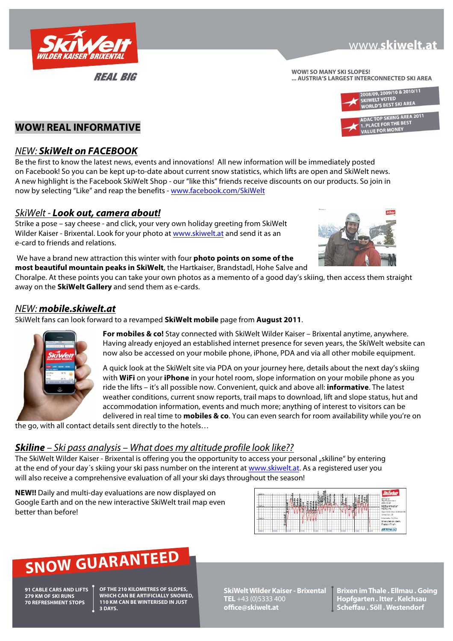

## **WWW.skiwelt.at**

**WOW! SO MANY SKI SLOPES! ... AUSTRIA'S LARGEST INTERCONNECTED SKI AREA**



ADACTOP SKING AND.



## NEW: **SkiWelt on FACEBOOK**

Be the first to know the latest news, events and innovations! All new information will be immediately posted on Facebook! So you can be kept up-to-date about current snow statistics, which lifts are open and SkiWelt news. A new highlight is the Facebook SkiWelt Shop - our "like this" friends receive discounts on our products. So join in now by selecting "Like" and reap the benefits - www.facebook.com/SkiWelt

## SkiWelt - **Look out, camera about!**

Strike a pose – say cheese - and click, your very own holiday greeting from SkiWelt Wilder Kaiser - Brixental. Look for your photo at www.skiwelt.at and send it as an e-card to friends and relations.

 We have a brand new attraction this winter with four **photo points on some of the most beautiful mountain peaks in SkiWelt**, the Hartkaiser, Brandstadl, Hohe Salve and



Choralpe. At these points you can take your own photos as a memento of a good day's skiing, then access them straight away on the **SkiWelt Gallery** and send them as e-cards.

## NEW: **mobile.skiwelt.at**

SkiWelt fans can look forward to a revamped **SkiWelt mobile** page from **August 2011**.



**For mobiles & co!** Stay connected with SkiWelt Wilder Kaiser – Brixental anytime, anywhere. Having already enjoyed an established internet presence for seven years, the SkiWelt website can now also be accessed on your mobile phone, iPhone, PDA and via all other mobile equipment.

A quick look at the SkiWelt site via PDA on your journey here, details about the next day's skiing with **WiFi** on your **iPhone** in your hotel room, slope information on your mobile phone as you ride the lifts – it's all possible now. Convenient, quick and above all: **informative**. The latest weather conditions, current snow reports, trail maps to download, lift and slope status, hut and accommodation information, events and much more; anything of interest to visitors can be delivered in real time to **mobiles & co**. You can even search for room availability while you're on

the go, with all contact details sent directly to the hotels…

## **Skiline** – Ski pass analysis – What does my altitude profile look like??

The SkiWelt Wilder Kaiser - Brixental is offering you the opportunity to access your personal "skiline" by entering at the end of your day´s skiing your ski pass number on the interent at www.skiwelt.at. As a registered user you will also receive a comprehensive evaluation of all your ski days throughout the season!

**NEW!!** Daily and multi-day evaluations are now displayed on Google Earth and on the new interactive SkiWelt trail map even better than before!



# **SNOW GUARANTEED**

**91 CABLE CARS AND LIFTS 279 KM OF SKI RUNS 70 REFRESHMENT STOPS**

**OF THE 210 KILOMETRES OF SLOPES, WHICH CAN BE ARTIFICIALLY SNOWED, 110 KM CAN BE WINTERISED IN JUST 3 DAYS.**

**SkiWelt Wilder Kaiser - Brixental TEL** +43 (0)5333 400 **office@skiwelt.at**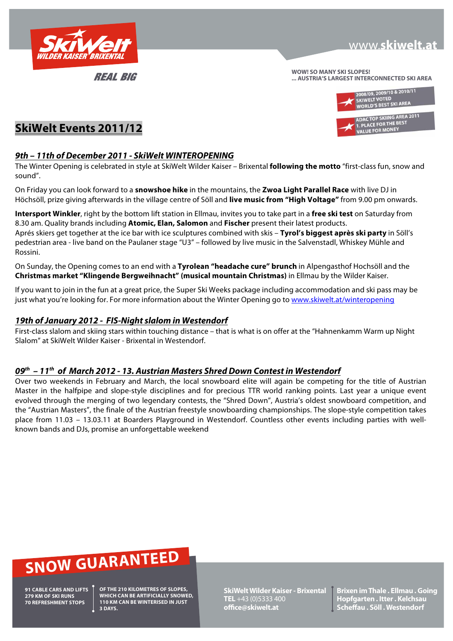

**WOW! SO MANY SKI SLOPES! ... AUSTRIA'S LARGEST INTERCONNECTED SKI AREA**



## **SkiWelt Events 2011/12**

## **9th – 11th of December 2011 - SkiWelt WINTEROPENING**

The Winter Opening is celebrated in style at SkiWelt Wilder Kaiser – Brixental **following the motto** "first-class fun, snow and sound".

On Friday you can look forward to a **snowshoe hike** in the mountains, the **Zwoa Light Parallel Race** with live DJ in Höchsöll, prize giving afterwards in the village centre of Söll and **live music from "High Voltage"** from 9.00 pm onwards.

**Intersport Winkler**, right by the bottom lift station in Ellmau, invites you to take part in a **free ski test** on Saturday from 8.30 am. Quality brands including **Atomic, Elan, Salomon** and **Fischer** present their latest products.

Aprés skiers get together at the ice bar with ice sculptures combined with skis – **Tyrol's biggest après ski party** in Söll's pedestrian area - live band on the Paulaner stage "U3" – followed by live music in the Salvenstadl, Whiskey Mühle and Rossini.

On Sunday, the Opening comes to an end with a **Tyrolean "headache cure" brunch** in Alpengasthof Hochsöll and the **Christmas market "Klingende Bergweihnacht" (musical mountain Christmas)** in Ellmau by the Wilder Kaiser.

If you want to join in the fun at a great price, the Super Ski Weeks package including accommodation and ski pass may be just what you're looking for. For more information about the Winter Opening go to www.skiwelt.at/winteropening

## **19th of January 2012 - FIS-Night slalom in Westendorf**

First-class slalom and skiing stars within touching distance – that is what is on offer at the "Hahnenkamm Warm up Night Slalom" at SkiWelt Wilder Kaiser - Brixental in Westendorf.

## **09th – 11th of March 2012 - 13. Austrian Masters Shred Down Contest in Westendorf**

Over two weekends in February and March, the local snowboard elite will again be competing for the title of Austrian Master in the halfpipe and slope-style disciplines and for precious TTR world ranking points. Last year a unique event evolved through the merging of two legendary contests, the "Shred Down", Austria's oldest snowboard competition, and the "Austrian Masters", the finale of the Austrian freestyle snowboarding championships. The slope-style competition takes place from 11.03 – 13.03.11 at Boarders Playground in Westendorf. Countless other events including parties with wellknown bands and DJs, promise an unforgettable weekend

# **SNOW GUARANTEED**

**91 CABLE CARS AND LIFTS 279 KM OF SKI RUNS 70 REFRESHMENT STOPS**

**OF THE 210 KILOMETRES OF SLOPES, WHICH CAN BE ARTIFICIALLY SNOWED, 110 KM CAN BE WINTERISED IN JUST 3 DAYS.**

**SkiWelt Wilder Kaiser - Brixental TEL** +43 (0)5333 400 **office@skiwelt.at**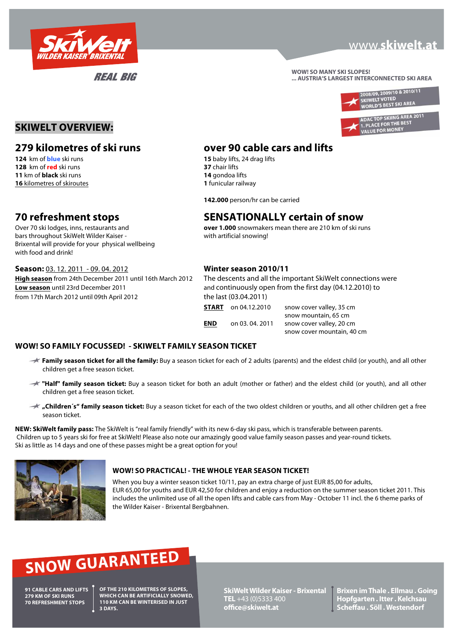

## **WWW.skiwelt.at**

**WOW! SO MANY SKI SLOPES! ... AUSTRIA'S LARGEST INTERCONNECTED SKI AREA**



**SKIWELT OVERVIEW:**

**128** km of **red** ski runs **37** chair lifts **11** km of **black** ski runs **14** gondoa lifts **16** kilometres of skiroutes **1** funicular railway

bars throughout SkiWelt Wilder Kaiser - with artificial snowing! Brixental will provide for your physical wellbeing with food and drink!

**Season:** 03. 12. 2011 - 09. 04. 2012 **Winter season 2010/11**  from 17th March 2012 until 09th April 2012 the last (03.04.2011)

## **279 kilometres of ski runs over 90 cable cars and lifts**

**15** baby lifts, 24 drag lifts

 **142.000** person/hr can be carried

## **70 refreshment stops SENSATIONALLY certain of snow**

Over 70 ski lodges, inns, restaurants and **over 1.000** snowmakers mean there are 210 km of ski runs

snow cover mountain, 40 cm

**High season** from 24th December 2011 until 16th March 2012 The descents and all the important SkiWelt connections were **Low season** until 23rd December 2011 and continuously open from the first day (04.12.2010) to **START** on 04.12.2010 snow cover valley, 35 cm snow mountain, 65 cm **END** on 03. 04. 2011 snow cover valley, 20 cm

## **WOW! SO FAMILY FOCUSSED! - SKIWELT FAMILY SEASON TICKET**

- **Family season ticket for all the family:** Buy a season ticket for each of 2 adults (parents) and the eldest child (or youth), and all other children get a free season ticket.
- **Thalf" family season ticket:** Buy a season ticket for both an adult (mother or father) and the eldest child (or youth), and all other children get a free season ticket.
- **"Children´s" family season ticket:** Buy a season ticket for each of the two oldest children or youths, and all other children get a free season ticket.

**NEW: SkiWelt family pass:** The SkiWelt is "real family friendly" with its new 6-day ski pass, which is transferable between parents. Children up to 5 years ski for free at SkiWelt! Please also note our amazingly good value family season passes and year-round tickets. Ski as little as 14 days and one of these passes might be a great option for you!



## **WOW! SO PRACTICAL! - THE WHOLE YEAR SEASON TICKET!**

When you buy a winter season ticket 10/11, pay an extra charge of just EUR 85,00 for adults, EUR 65,00 for youths and EUR 42,50 for children and enjoy a reduction on the summer season ticket 2011. This includes the unlimited use of all the open lifts and cable cars from May - October 11 incl. the 6 theme parks of the Wilder Kaiser - Brixental Bergbahnen.

# **SNOW GUARANTEED**

**91 CABLE CARS AND LIFTS 279 KM OF SKI RUNS 70 REFRESHMENT STOPS**

**OF THE 210 KILOMETRES OF SLOPES, WHICH CAN BE ARTIFICIALLY SNOWED, 110 KM CAN BE WINTERISED IN JUST 3 DAYS.**

**SkiWelt Wilder Kaiser - Brixental TEL** +43 (0)5333 400 **office@skiwelt.at**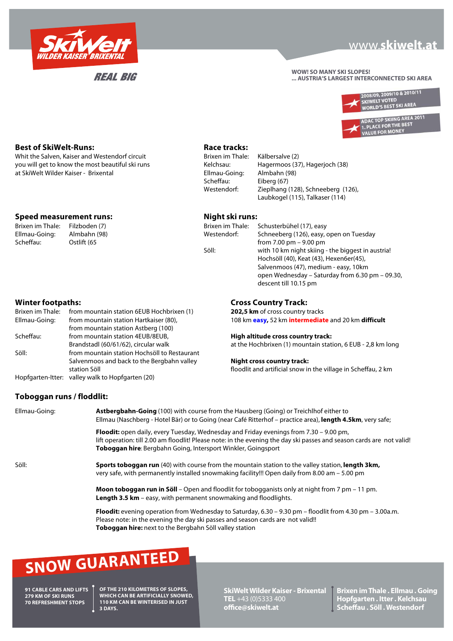

**REAL BIG** 

## www.skiwelt.at

**WOW! SO MANY SKI SLOPES! ... AUSTRIA'S LARGEST INTERCONNECTED SKI AREA**





**Best of SkiWelt-Runs: Race tracks: Race tracks: Whit the Salven. Kaiser and Westendorf circuit Race Example: Race Example: Race Example: Race Example: Race Example: Race Example: Race Exa** Whit the Salven, Kaiser and Westendorf circuit Brixen im Thale: Kälbersalve (2) you will get to know the most beautiful ski runs Kelchsau: Hagermoos (37), Hagerjoch (38) at SkiWelt Wilder Kaiser - Brixental Ellmau-Going: Almbahn (98)

## **Speed** measurement runs: Night ski runs:

| Brixen im Thale: | Filzl |
|------------------|-------|
| Ellmau-Going:    | Alm   |
| Scheffau:        | Ostl  |

| Brixen im Thale: | from mountain station 6EUB Hochbrixen (1)        |
|------------------|--------------------------------------------------|
| Ellmau-Going:    | from mountain station Hartkaiser (80),           |
|                  | from mountain station Astberg (100)              |
| Scheffau:        | from mountain station 4EUB/8EUB,                 |
|                  | Brandstadl (60/61/62), circular walk             |
| Söll:            | from mountain station Hochsöll to Restaurant     |
|                  | Salvenmoos and back to the Bergbahn valley       |
|                  | station Söll                                     |
|                  | Hopfaarton Ittor: valley walk to Hopfaarton (20) |

Hopfgarten-Itter: valley walk to Hopfgarten (20)

 Scheffau: Eiberg (67) Westendorf: Zieplhang (128), Schneeberg (126), Laubkogel (115), Talkaser (114)

| Brixen im Thale: | Filzboden (7) | Brixen im Thale: | Schusterbühel (17), easy                          |
|------------------|---------------|------------------|---------------------------------------------------|
| Ellmau-Going:    | Almbahn (98)  | Westendorf:      | Schneeberg (126), easy, open on Tuesday           |
| Scheffau:        | Ostlift (65   |                  | from $7.00 \text{ pm} - 9.00 \text{ pm}$          |
|                  |               | Söll:            | with 10 km night skiing - the biggest in austria! |
|                  |               |                  | Hochsöll (40), Keat (43), Hexen6er(45),           |
|                  |               |                  | Salvenmoos (47), medium - easy, 10km              |
|                  |               |                  | open Wednesday – Saturday from 6.30 pm – 09.30,   |
|                  |               |                  | descent till 10.15 pm                             |

## **Winter footpaths: Cross Country Track:**

202,5 km of cross country tracks 108 km **easy**, 52 km intermediate and 20 km difficult

Scheffau: from mountain station 4EUB/8EUB, **High altitude cross country track:**

at the Hochbrixen (1) mountain station, 6 EUB - 2,8 km long

### **Night cross country track:**

floodlit and artificial snow in the village in Scheffau, 2 km

## **Toboggan runs / floddlit:**

| Ellmau-Going: | <b>Astbergbahn-Going</b> (100) with course from the Hausberg (Going) or Treichlhof either to<br>Ellmau (Naschberg - Hotel Bär) or to Going (near Café Ritterhof - practice area), length 4.5km, very safe;                                                                                     |  |  |  |
|---------------|------------------------------------------------------------------------------------------------------------------------------------------------------------------------------------------------------------------------------------------------------------------------------------------------|--|--|--|
|               | <b>Floodit:</b> open daily, every Tuesday, Wednesday and Friday evenings from 7.30 – 9.00 pm,<br>lift operation: till 2.00 am floodlit! Please note: in the evening the day ski passes and season cards are not valid!<br><b>Toboggan hire:</b> Bergbahn Going, Intersport Winkler, Goingsport |  |  |  |
| Söll:         | <b>Sports toboggan run</b> (40) with course from the mountain station to the valley station, <b>length 3km</b> ,<br>very safe, with permanently installed snowmaking facility!!! Open daily from 8.00 am – 5.00 pm                                                                             |  |  |  |
|               | <b>Moon toboggan run in Söll</b> – Open and floodlit for tobogganists only at night from 7 pm – 11 pm.<br><b>Length 3.5 km</b> – easy, with permanent snowmaking and floodlights.                                                                                                              |  |  |  |
|               | <b>Floodit:</b> evening operation from Wednesday to Saturday, $6.30 - 9.30$ pm – floodlit from 4.30 pm – 3.00a.m.<br>Please note: in the evening the day ski passes and season cards are not valid!!                                                                                           |  |  |  |

**Toboggan hire:** next to the Bergbahn Söll valley station

# **SNOW GUARANTEED**

**91 CABLE CARS AND LIFTS 279 KM OF SKI RUNS 70 REFRESHMENT STOPS**

**OF THE 210 KILOMETRES OF SLOPES, WHICH CAN BE ARTIFICIALLY SNOWED, 110 KM CAN BE WINTERISED IN JUST 3 DAYS.**

**SkiWelt Wilder Kaiser - Brixental TEL** +43 (0)5333 400 **office@skiwelt.at**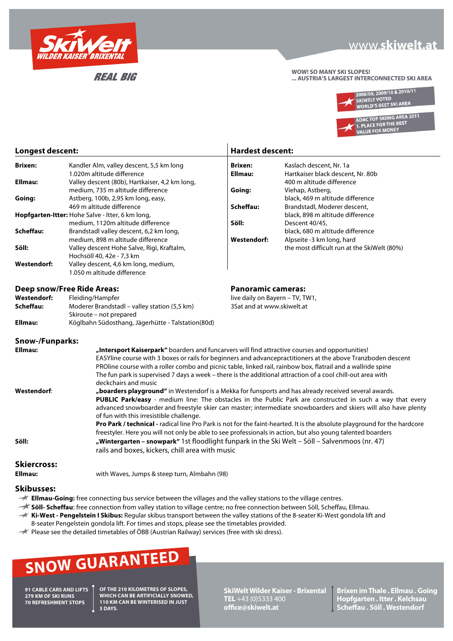

**REAL BIG** 

## www.skiwelt.at

**WOW! SO MANY SKI SLOPES! ... AUSTRIA'S LARGEST INTERCONNECTED SKI AREA**



| Longest descent:                                 |                                                                                                                                                                                                                                                                                                                                                                                                                                                                                   | <b>Hardest descent:</b>         |                                             |  |  |
|--------------------------------------------------|-----------------------------------------------------------------------------------------------------------------------------------------------------------------------------------------------------------------------------------------------------------------------------------------------------------------------------------------------------------------------------------------------------------------------------------------------------------------------------------|---------------------------------|---------------------------------------------|--|--|
| <b>Brixen:</b>                                   | Kandler Alm, valley descent, 5,5 km long                                                                                                                                                                                                                                                                                                                                                                                                                                          | <b>Brixen:</b>                  | Kaslach descent, Nr. 1a                     |  |  |
|                                                  | 1.020m altitude difference                                                                                                                                                                                                                                                                                                                                                                                                                                                        | Ellmau:                         | Hartkaiser black descent, Nr. 80b           |  |  |
| Ellmau:                                          | Valley descent (80b), Hartkaiser, 4,2 km long,                                                                                                                                                                                                                                                                                                                                                                                                                                    |                                 | 400 m altitude difference                   |  |  |
|                                                  | medium, 735 m altitude difference                                                                                                                                                                                                                                                                                                                                                                                                                                                 | Going:                          | Viehap, Astberg,                            |  |  |
| Going:                                           | Astberg, 100b, 2,95 km long, easy,                                                                                                                                                                                                                                                                                                                                                                                                                                                |                                 | black, 469 m altitude difference            |  |  |
|                                                  | 469 m altitude difference                                                                                                                                                                                                                                                                                                                                                                                                                                                         | Scheffau:                       | Brandstadl, Moderer descent,                |  |  |
| Hopfgarten-Itter: Hohe Salve - Itter, 6 km long, |                                                                                                                                                                                                                                                                                                                                                                                                                                                                                   |                                 | black, 898 m altitude difference            |  |  |
|                                                  | medium, 1120m altitude difference                                                                                                                                                                                                                                                                                                                                                                                                                                                 | Söll:                           | Descent 40/45,                              |  |  |
| Scheffau:                                        | Brandstadl valley descent, 6,2 km long,                                                                                                                                                                                                                                                                                                                                                                                                                                           |                                 | black, 680 m altitude difference            |  |  |
|                                                  | medium, 898 m altitude difference                                                                                                                                                                                                                                                                                                                                                                                                                                                 | <b>Westendorf:</b>              | Alpseite -3 km long, hard                   |  |  |
| Söll:                                            | Valley descent Hohe Salve, Rigi, Kraftalm,                                                                                                                                                                                                                                                                                                                                                                                                                                        |                                 | the most difficult run at the SkiWelt (80%) |  |  |
|                                                  | Hochsöll 40, 42e - 7,3 km                                                                                                                                                                                                                                                                                                                                                                                                                                                         |                                 |                                             |  |  |
| <b>Westendorf:</b>                               | Valley descent, 4,6 km long, medium,                                                                                                                                                                                                                                                                                                                                                                                                                                              |                                 |                                             |  |  |
|                                                  | 1.050 m altitude difference                                                                                                                                                                                                                                                                                                                                                                                                                                                       |                                 |                                             |  |  |
|                                                  | <b>Deep snow/Free Ride Areas:</b>                                                                                                                                                                                                                                                                                                                                                                                                                                                 | <b>Panoramic cameras:</b>       |                                             |  |  |
| <b>Westendorf:</b>                               | Fleiding/Hampfer                                                                                                                                                                                                                                                                                                                                                                                                                                                                  | live daily on Bayern - TV, TW1, |                                             |  |  |
| Scheffau:                                        | Moderer Brandstadl - valley station (5,5 km)                                                                                                                                                                                                                                                                                                                                                                                                                                      | 3Sat and at www.skiwelt.at      |                                             |  |  |
|                                                  | Skiroute - not prepared                                                                                                                                                                                                                                                                                                                                                                                                                                                           |                                 |                                             |  |  |
| Ellmau:                                          | Köglbahn Südosthang, Jägerhütte - Talstation(80d)                                                                                                                                                                                                                                                                                                                                                                                                                                 |                                 |                                             |  |  |
|                                                  |                                                                                                                                                                                                                                                                                                                                                                                                                                                                                   |                                 |                                             |  |  |
| <b>Snow-/Funparks:</b>                           |                                                                                                                                                                                                                                                                                                                                                                                                                                                                                   |                                 |                                             |  |  |
|                                                  | Ellmau:<br>"Intersport Kaiserpark" boarders and funcarvers will find attractive courses and opportunities!<br>EASYline course with 3 boxes or rails for beginners and advancepractitioners at the above Tranzboden descent<br>PROline course with a roller combo and picnic table, linked rail, rainbow box, flatrail and a wallride spine<br>The fun park is supervised 7 days a week - there is the additional attraction of a cool chill-out area with<br>deckchairs and music |                                 |                                             |  |  |
| <b>Westendorf:</b>                               |                                                                                                                                                                                                                                                                                                                                                                                                                                                                                   |                                 |                                             |  |  |
|                                                  | "boarders playground" in Westendorf is a Mekka for funsports and has already received several awards.<br>PUBLIC Park/easy - medium line: The obstacles in the Public Park are constructed in such a way that every<br>advanced snowboarder and freestyle skier can master; intermediate snowboarders and skiers will also have plenty<br>of fun with this irresistible challenge.                                                                                                 |                                 |                                             |  |  |
| Söll:                                            | Pro Park / technical - radical line Pro Park is not for the faint-hearted. It is the absolute playground for the hardcore<br>freestyler. Here you will not only be able to see professionals in action, but also young talented boarders<br>"Wintergarten - snowpark" 1st floodlight funpark in the Ski Welt - Söll - Salvenmoos (nr. 47)<br>rails and boxes, kickers, chill area with music                                                                                      |                                 |                                             |  |  |
| <b>Skiercross:</b>                               |                                                                                                                                                                                                                                                                                                                                                                                                                                                                                   |                                 |                                             |  |  |

**Ellmau:** with Waves, Jumps & steep turn, Almbahn (98)

### **Skibusses:**

- **Ellmau-Going:** free connecting bus service between the villages and the valley stations to the village centres.
- **Söll- Scheffau**: free connection from valley station to village centre; no free connection between Söll, Scheffau, Ellmau.
- **Ki-West Pengelstein I Skibus:** Regular skibus transport between the valley stations of the 8-seater Ki-West gondola lift and
- 8-seater Pengelstein gondola lift. For times and stops, please see the timetables provided.
- $\rightarrow$  Please see the detailed timetables of ÖBB (Austrian Railway) services (free with ski dress).

# **SNOW GUARANTEED**

**91 CABLE CARS AND LIFTS 279 KM OF SKI RUNS 70 REFRESHMENT STOPS**

**OF THE 210 KILOMETRES OF SLOPES, WHICH CAN BE ARTIFICIALLY SNOWED, 110 KM CAN BE WINTERISED IN JUST 3 DAYS.**

**SkiWelt Wilder Kaiser - Brixental TEL** +43 (0)5333 400 **office@skiwelt.at**